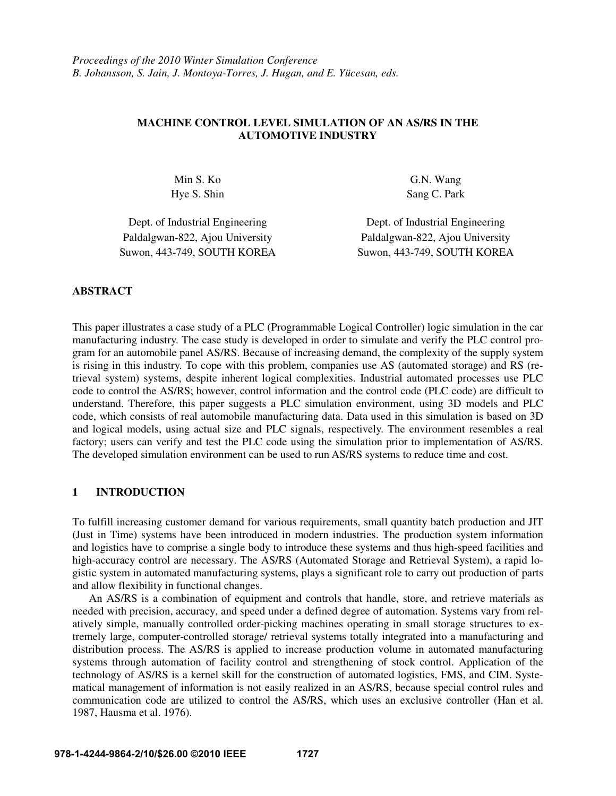# **MACHINE CONTROL LEVEL SIMULATION OF AN AS/RS IN THE AUTOMOTIVE INDUSTRY**

Min S. Ko G.N. Wang Hye S. Shin Sang C. Park

Paldalgwan-822, Ajou University Paldalgwan-822, Ajou University Suwon, 443-749, SOUTH KOREA Suwon, 443-749, SOUTH KOREA

Dept. of Industrial Engineering Dept. of Industrial Engineering

## **ABSTRACT**

This paper illustrates a case study of a PLC (Programmable Logical Controller) logic simulation in the car manufacturing industry. The case study is developed in order to simulate and verify the PLC control program for an automobile panel AS/RS. Because of increasing demand, the complexity of the supply system is rising in this industry. To cope with this problem, companies use AS (automated storage) and RS (retrieval system) systems, despite inherent logical complexities. Industrial automated processes use PLC code to control the AS/RS; however, control information and the control code (PLC code) are difficult to understand. Therefore, this paper suggests a PLC simulation environment, using 3D models and PLC code, which consists of real automobile manufacturing data. Data used in this simulation is based on 3D and logical models, using actual size and PLC signals, respectively. The environment resembles a real factory; users can verify and test the PLC code using the simulation prior to implementation of AS/RS. The developed simulation environment can be used to run AS/RS systems to reduce time and cost.

# **1 INTRODUCTION**

To fulfill increasing customer demand for various requirements, small quantity batch production and JIT (Just in Time) systems have been introduced in modern industries. The production system information and logistics have to comprise a single body to introduce these systems and thus high-speed facilities and high-accuracy control are necessary. The AS/RS (Automated Storage and Retrieval System), a rapid logistic system in automated manufacturing systems, plays a significant role to carry out production of parts and allow flexibility in functional changes.

 An AS/RS is a combination of equipment and controls that handle, store, and retrieve materials as needed with precision, accuracy, and speed under a defined degree of automation. Systems vary from relatively simple, manually controlled order-picking machines operating in small storage structures to extremely large, computer-controlled storage/ retrieval systems totally integrated into a manufacturing and distribution process. The AS/RS is applied to increase production volume in automated manufacturing systems through automation of facility control and strengthening of stock control. Application of the technology of AS/RS is a kernel skill for the construction of automated logistics, FMS, and CIM. Systematical management of information is not easily realized in an AS/RS, because special control rules and communication code are utilized to control the AS/RS, which uses an exclusive controller (Han et al. 1987, Hausma et al. 1976).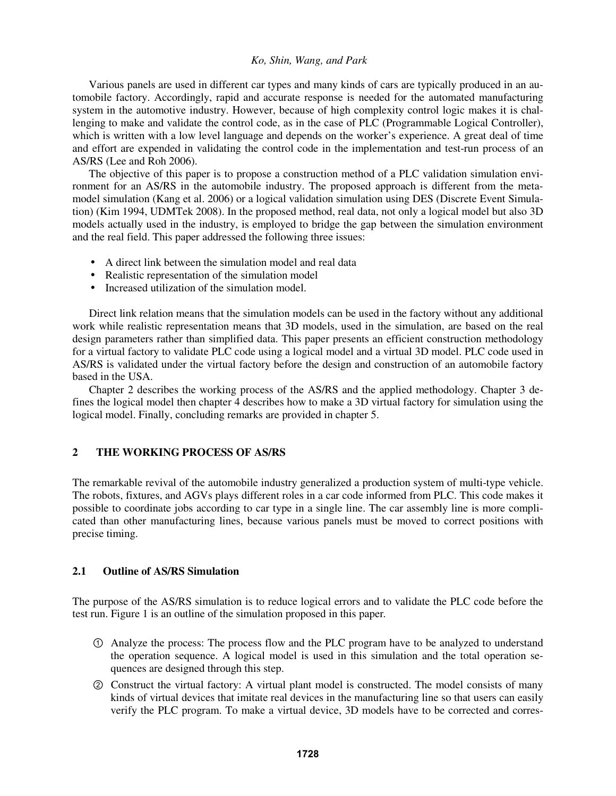Various panels are used in different car types and many kinds of cars are typically produced in an automobile factory. Accordingly, rapid and accurate response is needed for the automated manufacturing system in the automotive industry. However, because of high complexity control logic makes it is challenging to make and validate the control code, as in the case of PLC (Programmable Logical Controller), which is written with a low level language and depends on the worker's experience. A great deal of time and effort are expended in validating the control code in the implementation and test-run process of an AS/RS (Lee and Roh 2006).

 The objective of this paper is to propose a construction method of a PLC validation simulation environment for an AS/RS in the automobile industry. The proposed approach is different from the metamodel simulation (Kang et al. 2006) or a logical validation simulation using DES (Discrete Event Simulation) (Kim 1994, UDMTek 2008). In the proposed method, real data, not only a logical model but also 3D models actually used in the industry, is employed to bridge the gap between the simulation environment and the real field. This paper addressed the following three issues:

- A direct link between the simulation model and real data
- Realistic representation of the simulation model
- Increased utilization of the simulation model.

 Direct link relation means that the simulation models can be used in the factory without any additional work while realistic representation means that 3D models, used in the simulation, are based on the real design parameters rather than simplified data. This paper presents an efficient construction methodology for a virtual factory to validate PLC code using a logical model and a virtual 3D model. PLC code used in AS/RS is validated under the virtual factory before the design and construction of an automobile factory based in the USA.

 Chapter 2 describes the working process of the AS/RS and the applied methodology. Chapter 3 defines the logical model then chapter 4 describes how to make a 3D virtual factory for simulation using the logical model. Finally, concluding remarks are provided in chapter 5.

# **2 THE WORKING PROCESS OF AS/RS**

The remarkable revival of the automobile industry generalized a production system of multi-type vehicle. The robots, fixtures, and AGVs plays different roles in a car code informed from PLC. This code makes it possible to coordinate jobs according to car type in a single line. The car assembly line is more complicated than other manufacturing lines, because various panels must be moved to correct positions with precise timing.

## **2.1 Outline of AS/RS Simulation**

The purpose of the AS/RS simulation is to reduce logical errors and to validate the PLC code before the test run. Figure 1 is an outline of the simulation proposed in this paper.

- ① Analyze the process: The process flow and the PLC program have to be analyzed to understand the operation sequence. A logical model is used in this simulation and the total operation sequences are designed through this step.
- ② Construct the virtual factory: A virtual plant model is constructed. The model consists of many kinds of virtual devices that imitate real devices in the manufacturing line so that users can easily verify the PLC program. To make a virtual device, 3D models have to be corrected and corres-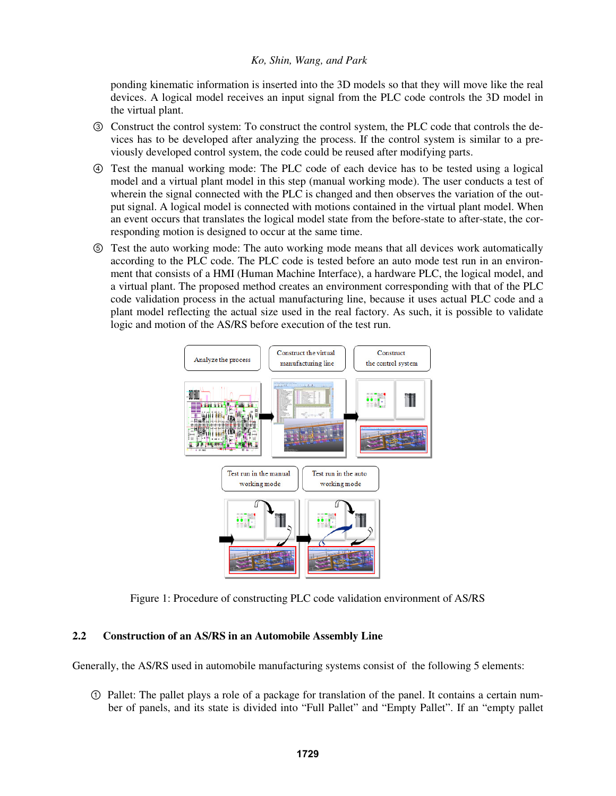ponding kinematic information is inserted into the 3D models so that they will move like the real devices. A logical model receives an input signal from the PLC code controls the 3D model in the virtual plant.

- ③ Construct the control system: To construct the control system, the PLC code that controls the devices has to be developed after analyzing the process. If the control system is similar to a previously developed control system, the code could be reused after modifying parts.
- ④ Test the manual working mode: The PLC code of each device has to be tested using a logical model and a virtual plant model in this step (manual working mode). The user conducts a test of wherein the signal connected with the PLC is changed and then observes the variation of the output signal. A logical model is connected with motions contained in the virtual plant model. When an event occurs that translates the logical model state from the before-state to after-state, the corresponding motion is designed to occur at the same time.
- ⑤ Test the auto working mode: The auto working mode means that all devices work automatically according to the PLC code. The PLC code is tested before an auto mode test run in an environment that consists of a HMI (Human Machine Interface), a hardware PLC, the logical model, and a virtual plant. The proposed method creates an environment corresponding with that of the PLC code validation process in the actual manufacturing line, because it uses actual PLC code and a plant model reflecting the actual size used in the real factory. As such, it is possible to validate logic and motion of the AS/RS before execution of the test run.



Figure 1: Procedure of constructing PLC code validation environment of AS/RS

# **2.2 Construction of an AS/RS in an Automobile Assembly Line**

Generally, the AS/RS used in automobile manufacturing systems consist of the following 5 elements:

① Pallet: The pallet plays a role of a package for translation of the panel. It contains a certain number of panels, and its state is divided into "Full Pallet" and "Empty Pallet". If an "empty pallet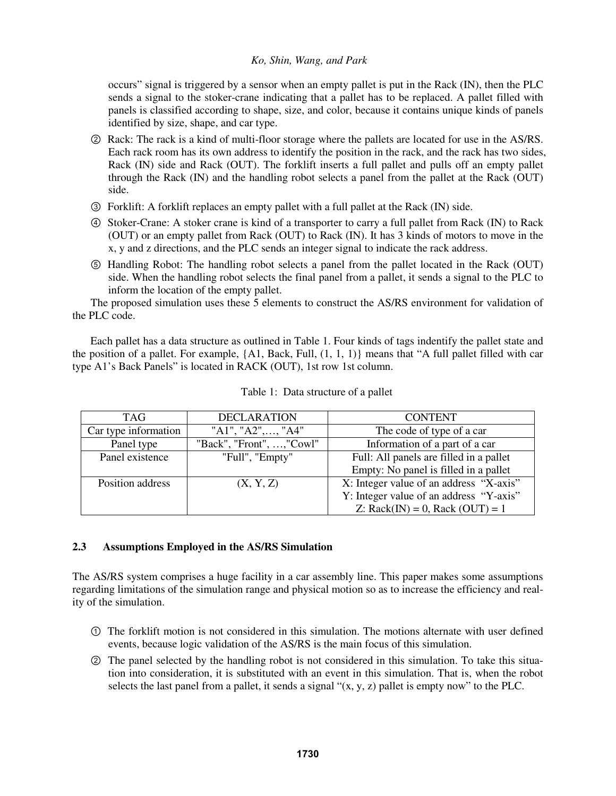occurs" signal is triggered by a sensor when an empty pallet is put in the Rack (IN), then the PLC sends a signal to the stoker-crane indicating that a pallet has to be replaced. A pallet filled with panels is classified according to shape, size, and color, because it contains unique kinds of panels identified by size, shape, and car type.

- ② Rack: The rack is a kind of multi-floor storage where the pallets are located for use in the AS/RS. Each rack room has its own address to identify the position in the rack, and the rack has two sides, Rack (IN) side and Rack (OUT). The forklift inserts a full pallet and pulls off an empty pallet through the Rack (IN) and the handling robot selects a panel from the pallet at the Rack (OUT) side.
- ③ Forklift: A forklift replaces an empty pallet with a full pallet at the Rack (IN) side.
- ④ Stoker-Crane: A stoker crane is kind of a transporter to carry a full pallet from Rack (IN) to Rack (OUT) or an empty pallet from Rack (OUT) to Rack (IN). It has 3 kinds of motors to move in the x, y and z directions, and the PLC sends an integer signal to indicate the rack address.
- ⑤ Handling Robot: The handling robot selects a panel from the pallet located in the Rack (OUT) side. When the handling robot selects the final panel from a pallet, it sends a signal to the PLC to inform the location of the empty pallet.

The proposed simulation uses these 5 elements to construct the AS/RS environment for validation of the PLC code.

Each pallet has a data structure as outlined in Table 1. Four kinds of tags indentify the pallet state and the position of a pallet. For example, {A1, Back, Full, (1, 1, 1)} means that "A full pallet filled with car type A1's Back Panels" is located in RACK (OUT), 1st row 1st column.

| <b>TAG</b>           | <b>DECLARATION</b>        | <b>CONTENT</b>                          |  |
|----------------------|---------------------------|-----------------------------------------|--|
| Car type information | "A1", "A2",, "A4"         | The code of type of a car               |  |
| Panel type           | "Back", "Front", , "Cowl" | Information of a part of a car          |  |
| Panel existence      | "Full", "Empty"           | Full: All panels are filled in a pallet |  |
|                      |                           | Empty: No panel is filled in a pallet   |  |
| Position address     | (X, Y, Z)                 | X: Integer value of an address "X-axis" |  |
|                      |                           | Y: Integer value of an address "Y-axis" |  |
|                      |                           | $Z:$ Rack(IN) = 0, Rack (OUT) = 1       |  |

Table 1: Data structure of a pallet

# **2.3 Assumptions Employed in the AS/RS Simulation**

The AS/RS system comprises a huge facility in a car assembly line. This paper makes some assumptions regarding limitations of the simulation range and physical motion so as to increase the efficiency and reality of the simulation.

- ① The forklift motion is not considered in this simulation. The motions alternate with user defined events, because logic validation of the AS/RS is the main focus of this simulation.
- ② The panel selected by the handling robot is not considered in this simulation. To take this situation into consideration, it is substituted with an event in this simulation. That is, when the robot selects the last panel from a pallet, it sends a signal " $(x, y, z)$  pallet is empty now" to the PLC.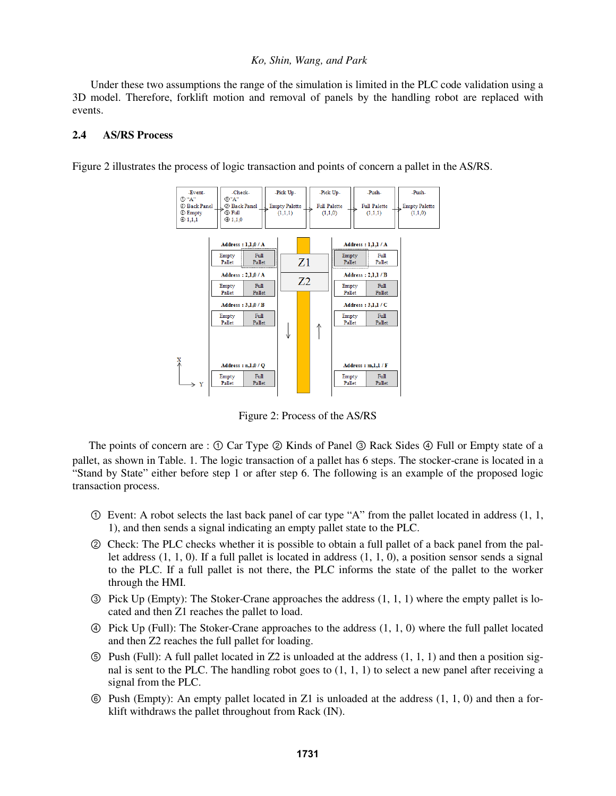Under these two assumptions the range of the simulation is limited in the PLC code validation using a 3D model. Therefore, forklift motion and removal of panels by the handling robot are replaced with events.

#### **2.4 AS/RS Process**

Figure 2 illustrates the process of logic transaction and points of concern a pallet in the AS/RS.



Figure 2: Process of the AS/RS

The points of concern are : ① Car Type ② Kinds of Panel ③ Rack Sides ④ Full or Empty state of a pallet, as shown in Table. 1. The logic transaction of a pallet has 6 steps. The stocker-crane is located in a "Stand by State" either before step 1 or after step 6. The following is an example of the proposed logic transaction process.

- $\odot$  Event: A robot selects the last back panel of car type "A" from the pallet located in address (1, 1, 1), and then sends a signal indicating an empty pallet state to the PLC.
- ② Check: The PLC checks whether it is possible to obtain a full pallet of a back panel from the pallet address (1, 1, 0). If a full pallet is located in address (1, 1, 0), a position sensor sends a signal to the PLC. If a full pallet is not there, the PLC informs the state of the pallet to the worker through the HMI.
- ③ Pick Up (Empty): The Stoker-Crane approaches the address (1, 1, 1) where the empty pallet is located and then Z1 reaches the pallet to load.
- ④ Pick Up (Full): The Stoker-Crane approaches to the address (1, 1, 0) where the full pallet located and then Z2 reaches the full pallet for loading.
- $\circled{S}$  Push (Full): A full pallet located in Z2 is unloaded at the address (1, 1, 1) and then a position signal is sent to the PLC. The handling robot goes to  $(1, 1, 1)$  to select a new panel after receiving a signal from the PLC.
- ⑥ Push (Empty): An empty pallet located in Z1 is unloaded at the address (1, 1, 0) and then a forklift withdraws the pallet throughout from Rack (IN).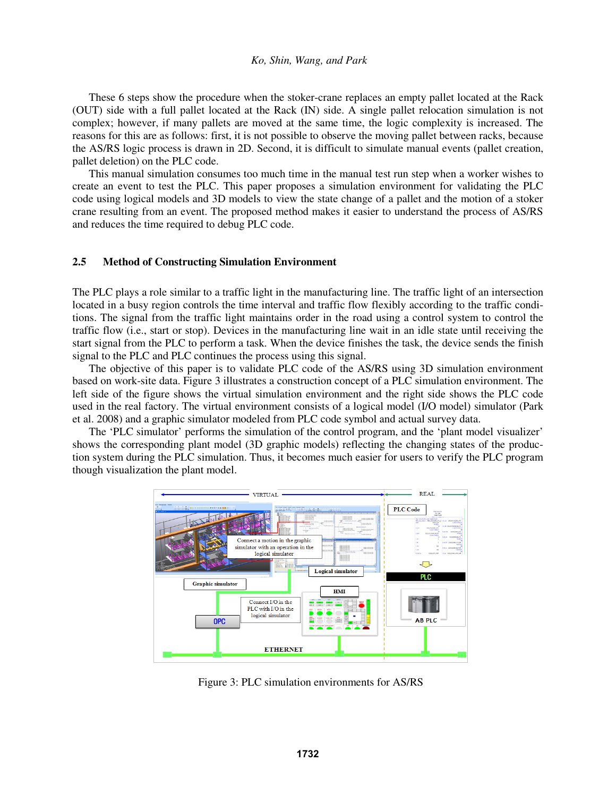These 6 steps show the procedure when the stoker-crane replaces an empty pallet located at the Rack (OUT) side with a full pallet located at the Rack (IN) side. A single pallet relocation simulation is not complex; however, if many pallets are moved at the same time, the logic complexity is increased. The reasons for this are as follows: first, it is not possible to observe the moving pallet between racks, because the AS/RS logic process is drawn in 2D. Second, it is difficult to simulate manual events (pallet creation, pallet deletion) on the PLC code.

 This manual simulation consumes too much time in the manual test run step when a worker wishes to create an event to test the PLC. This paper proposes a simulation environment for validating the PLC code using logical models and 3D models to view the state change of a pallet and the motion of a stoker crane resulting from an event. The proposed method makes it easier to understand the process of AS/RS and reduces the time required to debug PLC code.

## **2.5 Method of Constructing Simulation Environment**

The PLC plays a role similar to a traffic light in the manufacturing line. The traffic light of an intersection located in a busy region controls the time interval and traffic flow flexibly according to the traffic conditions. The signal from the traffic light maintains order in the road using a control system to control the traffic flow (i.e., start or stop). Devices in the manufacturing line wait in an idle state until receiving the start signal from the PLC to perform a task. When the device finishes the task, the device sends the finish signal to the PLC and PLC continues the process using this signal.

 The objective of this paper is to validate PLC code of the AS/RS using 3D simulation environment based on work-site data. Figure 3 illustrates a construction concept of a PLC simulation environment. The left side of the figure shows the virtual simulation environment and the right side shows the PLC code used in the real factory. The virtual environment consists of a logical model (I/O model) simulator (Park et al. 2008) and a graphic simulator modeled from PLC code symbol and actual survey data.

 The 'PLC simulator' performs the simulation of the control program, and the 'plant model visualizer' shows the corresponding plant model (3D graphic models) reflecting the changing states of the production system during the PLC simulation. Thus, it becomes much easier for users to verify the PLC program though visualization the plant model.



Figure 3: PLC simulation environments for AS/RS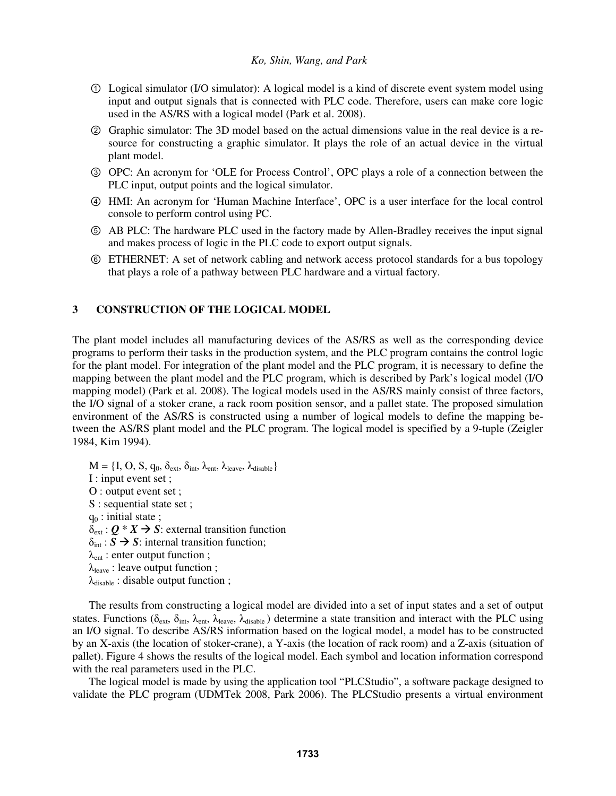- ① Logical simulator (I/O simulator): A logical model is a kind of discrete event system model using input and output signals that is connected with PLC code. Therefore, users can make core logic used in the AS/RS with a logical model (Park et al. 2008).
- ② Graphic simulator: The 3D model based on the actual dimensions value in the real device is a resource for constructing a graphic simulator. It plays the role of an actual device in the virtual plant model.
- ③ OPC: An acronym for 'OLE for Process Control', OPC plays a role of a connection between the PLC input, output points and the logical simulator.
- ④ HMI: An acronym for 'Human Machine Interface', OPC is a user interface for the local control console to perform control using PC.
- ⑤ AB PLC: The hardware PLC used in the factory made by Allen-Bradley receives the input signal and makes process of logic in the PLC code to export output signals.
- ⑥ ETHERNET: A set of network cabling and network access protocol standards for a bus topology that plays a role of a pathway between PLC hardware and a virtual factory.

# **3 CONSTRUCTION OF THE LOGICAL MODEL**

The plant model includes all manufacturing devices of the AS/RS as well as the corresponding device programs to perform their tasks in the production system, and the PLC program contains the control logic for the plant model. For integration of the plant model and the PLC program, it is necessary to define the mapping between the plant model and the PLC program, which is described by Park's logical model (I/O mapping model) (Park et al. 2008). The logical models used in the AS/RS mainly consist of three factors, the I/O signal of a stoker crane, a rack room position sensor, and a pallet state. The proposed simulation environment of the AS/RS is constructed using a number of logical models to define the mapping between the AS/RS plant model and the PLC program. The logical model is specified by a 9-tuple (Zeigler 1984, Kim 1994).

 $M = \{I, O, S, q_0, \delta_{ext}, \delta_{int}, \lambda_{ent}, \lambda_{leave}, \lambda_{disable}\}$ I : input event set ; O : output event set ; S : sequential state set ;  $q_0$ : initial state;  $\delta_{\text{ext}}: Q * X \rightarrow S$ : external transition function  $\delta_{\text{int}}$ :  $\overrightarrow{S}$   $\rightarrow$  *S*: internal transition function;  $\lambda_{ent}$ : enter output function;  $\lambda_{\text{leave}}$ : leave output function ;  $\lambda_{\text{disable}}$ : disable output function;

 The results from constructing a logical model are divided into a set of input states and a set of output states. Functions ( $\delta_{ext}$ ,  $\delta_{int}$ ,  $\lambda_{ent}$ ,  $\lambda_{leave}$ ,  $\lambda_{disable}$ ) determine a state transition and interact with the PLC using an I/O signal. To describe AS/RS information based on the logical model, a model has to be constructed by an X-axis (the location of stoker-crane), a Y-axis (the location of rack room) and a Z-axis (situation of pallet). Figure 4 shows the results of the logical model. Each symbol and location information correspond with the real parameters used in the PLC.

 The logical model is made by using the application tool "PLCStudio", a software package designed to validate the PLC program (UDMTek 2008, Park 2006). The PLCStudio presents a virtual environment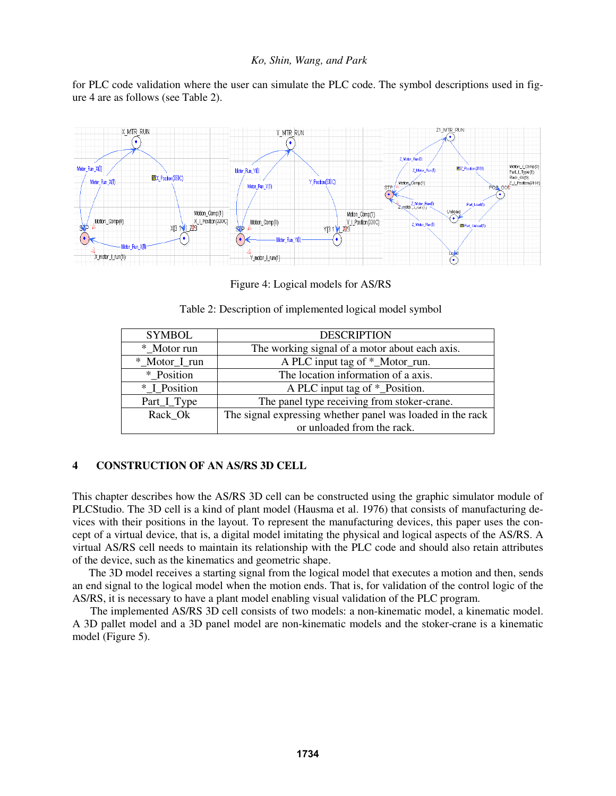for PLC code validation where the user can simulate the PLC code. The symbol descriptions used in figure 4 are as follows (see Table 2).



Figure 4: Logical models for AS/RS

|  | Table 2: Description of implemented logical model symbol |  |
|--|----------------------------------------------------------|--|
|  |                                                          |  |

| <b>SYMBOL</b> | <b>DESCRIPTION</b>                                         |  |  |
|---------------|------------------------------------------------------------|--|--|
| * Motor run   | The working signal of a motor about each axis.             |  |  |
| *_Motor_I_run | A PLC input tag of *_Motor_run.                            |  |  |
| * Position    | The location information of a axis.                        |  |  |
| * I Position  | A PLC input tag of *_Position.                             |  |  |
| Part_I_Type   | The panel type receiving from stoker-crane.                |  |  |
| Rack Ok       | The signal expressing whether panel was loaded in the rack |  |  |
|               | or unloaded from the rack.                                 |  |  |

# **4 CONSTRUCTION OF AN AS/RS 3D CELL**

This chapter describes how the AS/RS 3D cell can be constructed using the graphic simulator module of PLCStudio. The 3D cell is a kind of plant model (Hausma et al. 1976) that consists of manufacturing devices with their positions in the layout. To represent the manufacturing devices, this paper uses the concept of a virtual device, that is, a digital model imitating the physical and logical aspects of the AS/RS. A virtual AS/RS cell needs to maintain its relationship with the PLC code and should also retain attributes of the device, such as the kinematics and geometric shape.

 The 3D model receives a starting signal from the logical model that executes a motion and then, sends an end signal to the logical model when the motion ends. That is, for validation of the control logic of the AS/RS, it is necessary to have a plant model enabling visual validation of the PLC program.

The implemented AS/RS 3D cell consists of two models: a non-kinematic model, a kinematic model. A 3D pallet model and a 3D panel model are non-kinematic models and the stoker-crane is a kinematic model (Figure 5).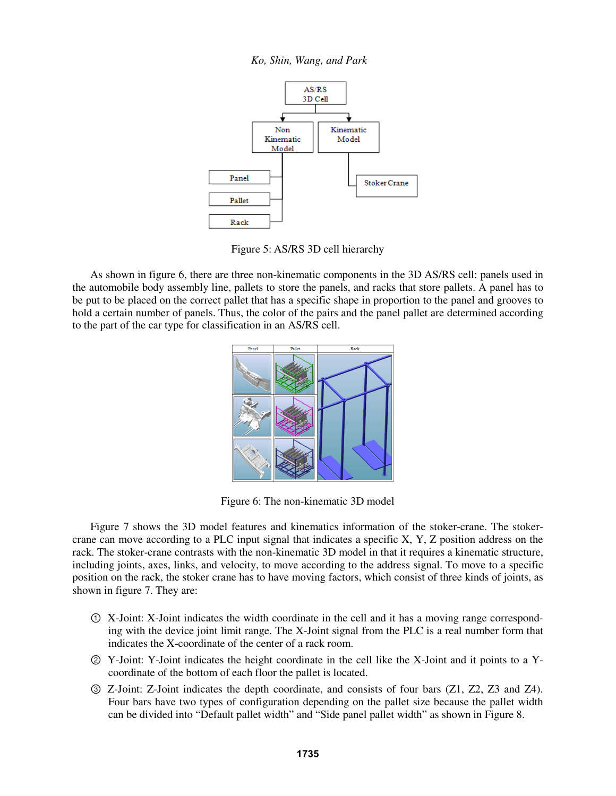*Ko, Shin, Wang, and Park* 



Figure 5: AS/RS 3D cell hierarchy

As shown in figure 6, there are three non-kinematic components in the 3D AS/RS cell: panels used in the automobile body assembly line, pallets to store the panels, and racks that store pallets. A panel has to be put to be placed on the correct pallet that has a specific shape in proportion to the panel and grooves to hold a certain number of panels. Thus, the color of the pairs and the panel pallet are determined according to the part of the car type for classification in an AS/RS cell.



Figure 6: The non-kinematic 3D model

Figure 7 shows the 3D model features and kinematics information of the stoker-crane. The stokercrane can move according to a PLC input signal that indicates a specific X, Y, Z position address on the rack. The stoker-crane contrasts with the non-kinematic 3D model in that it requires a kinematic structure, including joints, axes, links, and velocity, to move according to the address signal. To move to a specific position on the rack, the stoker crane has to have moving factors, which consist of three kinds of joints, as shown in figure 7. They are:

- ① X-Joint: X-Joint indicates the width coordinate in the cell and it has a moving range corresponding with the device joint limit range. The X-Joint signal from the PLC is a real number form that indicates the X-coordinate of the center of a rack room.
- ② Y-Joint: Y-Joint indicates the height coordinate in the cell like the X-Joint and it points to a Ycoordinate of the bottom of each floor the pallet is located.
- ③ Z-Joint: Z-Joint indicates the depth coordinate, and consists of four bars (Z1, Z2, Z3 and Z4). Four bars have two types of configuration depending on the pallet size because the pallet width can be divided into "Default pallet width" and "Side panel pallet width" as shown in Figure 8.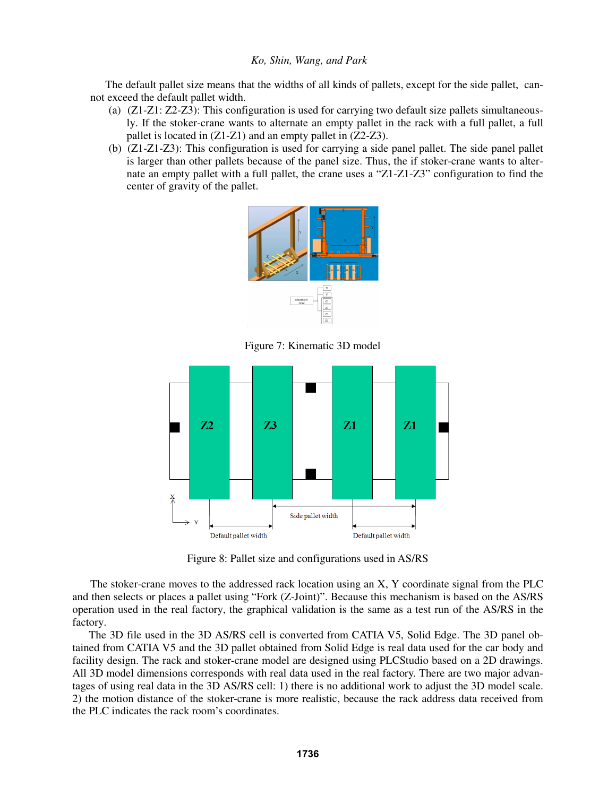The default pallet size means that the widths of all kinds of pallets, except for the side pallet, cannot exceed the default pallet width.

- (a)(Z1-Z1: Z2-Z3): This configuration is used for carrying two default size pallets simultaneously. If the stoker-crane wants to alternate an empty pallet in the rack with a full pallet, a full pallet is located in (Z1-Z1) and an empty pallet in (Z2-Z3).
- (b) (Z1-Z1-Z3): This configuration is used for carrying a side panel pallet. The side panel pallet is larger than other pallets because of the panel size. Thus, the if stoker-crane wants to alternate an empty pallet with a full pallet, the crane uses a "Z1-Z1-Z3" configuration to find the center of gravity of the pallet.



Figure 7: Kinematic 3D model



Figure 8: Pallet size and configurations used in AS/RS

The stoker-crane moves to the addressed rack location using an X, Y coordinate signal from the PLC and then selects or places a pallet using "Fork (Z-Joint)". Because this mechanism is based on the AS/RS operation used in the real factory, the graphical validation is the same as a test run of the AS/RS in the factory.

The 3D file used in the 3D AS/RS cell is converted from CATIA V5, Solid Edge. The 3D panel obtained from CATIA V5 and the 3D pallet obtained from Solid Edge is real data used for the car body and facility design. The rack and stoker-crane model are designed using PLCStudio based on a 2D drawings. All 3D model dimensions corresponds with real data used in the real factory. There are two major advantages of using real data in the 3D AS/RS cell: 1) there is no additional work to adjust the 3D model scale. 2) the motion distance of the stoker-crane is more realistic, because the rack address data received from the PLC indicates the rack room's coordinates.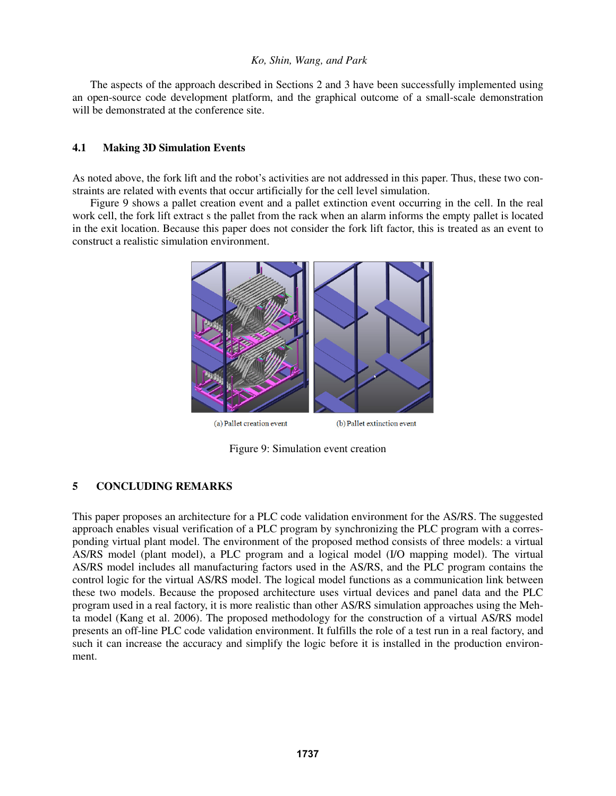The aspects of the approach described in Sections 2 and 3 have been successfully implemented using an open-source code development platform, and the graphical outcome of a small-scale demonstration will be demonstrated at the conference site.

## **4.1 Making 3D Simulation Events**

As noted above, the fork lift and the robot's activities are not addressed in this paper. Thus, these two constraints are related with events that occur artificially for the cell level simulation.

Figure 9 shows a pallet creation event and a pallet extinction event occurring in the cell. In the real work cell, the fork lift extract s the pallet from the rack when an alarm informs the empty pallet is located in the exit location. Because this paper does not consider the fork lift factor, this is treated as an event to construct a realistic simulation environment.



Figure 9: Simulation event creation

# **5 CONCLUDING REMARKS**

This paper proposes an architecture for a PLC code validation environment for the AS/RS. The suggested approach enables visual verification of a PLC program by synchronizing the PLC program with a corresponding virtual plant model. The environment of the proposed method consists of three models: a virtual AS/RS model (plant model), a PLC program and a logical model (I/O mapping model). The virtual AS/RS model includes all manufacturing factors used in the AS/RS, and the PLC program contains the control logic for the virtual AS/RS model. The logical model functions as a communication link between these two models. Because the proposed architecture uses virtual devices and panel data and the PLC program used in a real factory, it is more realistic than other AS/RS simulation approaches using the Mehta model (Kang et al. 2006). The proposed methodology for the construction of a virtual AS/RS model presents an off-line PLC code validation environment. It fulfills the role of a test run in a real factory, and such it can increase the accuracy and simplify the logic before it is installed in the production environment.